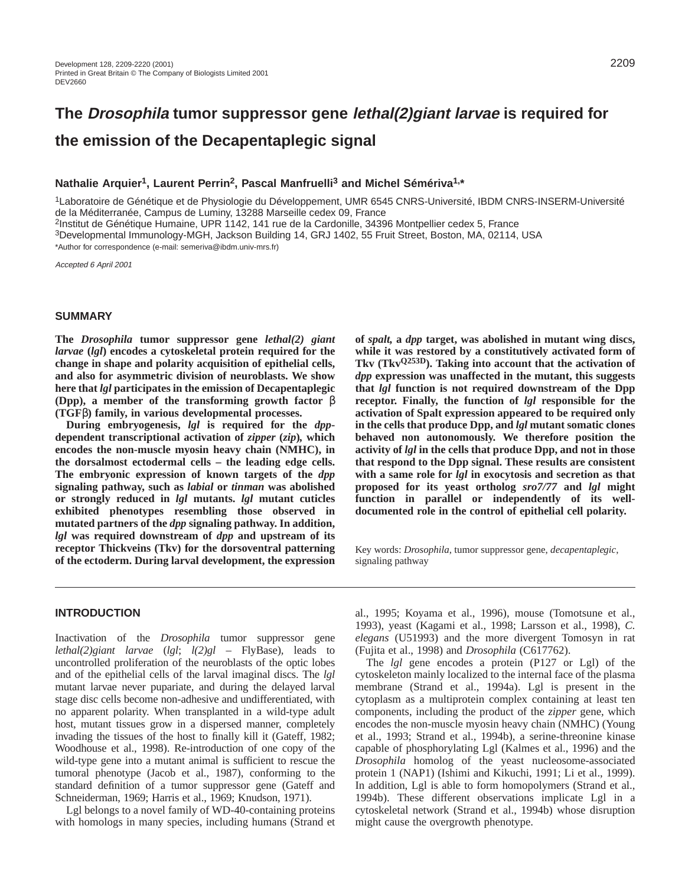# **The Drosophila tumor suppressor gene lethal(2)giant larvae is required for the emission of the Decapentaplegic signal**

# **Nathalie Arquier1, Laurent Perrin2, Pascal Manfruelli3 and Michel Sémériva1,\***

1Laboratoire de Génétique et de Physiologie du Développement, UMR 6545 CNRS-Université, IBDM CNRS-INSERM-Université de la Méditerranée, Campus de Luminy, 13288 Marseille cedex 09, France

2Institut de Génétique Humaine, UPR 1142, 141 rue de la Cardonille, 34396 Montpellier cedex 5, France

3Developmental Immunology-MGH, Jackson Building 14, GRJ 1402, 55 Fruit Street, Boston, MA, 02114, USA

\*Author for correspondence (e-mail: semeriva@ibdm.univ-mrs.fr)

Accepted 6 April 2001

# **SUMMARY**

**The** *Drosophila* **tumor suppressor gene** *lethal(2) giant larvae* **(***lgl***) encodes a cytoskeletal protein required for the change in shape and polarity acquisition of epithelial cells, and also for asymmetric division of neuroblasts. We show here that** *lgl* **participates in the emission of Decapentaplegic (Dpp), a member of the transforming growth factor** β **(TGF**β**) family, in various developmental processes.** 

**During embryogenesis,** *lgl* **is required for the** *dpp***dependent transcriptional activation of** *zipper* **(***zip***)***,* **which encodes the non-muscle myosin heavy chain (NMHC), in the dorsalmost ectodermal cells – the leading edge cells. The embryonic expression of known targets of the** *dpp* **signaling pathway, such as** *labial* **or** *tinman* **was abolished or strongly reduced in** *lgl* **mutants.** *lgl* **mutant cuticles exhibited phenotypes resembling those observed in mutated partners of the** *dpp* **signaling pathway. In addition,** *lgl* **was required downstream of** *dpp* **and upstream of its receptor Thickveins (Tkv) for the dorsoventral patterning of the ectoderm. During larval development, the expression**

**of** *spalt,* **a** *dpp* **target, was abolished in mutant wing discs, while it was restored by a constitutively activated form of Tkv (TkvQ253D). Taking into account that the activation of** *dpp* **expression was unaffected in the mutant, this suggests that** *lgl* **function is not required downstream of the Dpp receptor. Finally, the function of** *lgl* **responsible for the activation of Spalt expression appeared to be required only in the cells that produce Dpp, and** *lgl* **mutant somatic clones behaved non autonomously. We therefore position the activity of** *lgl* **in the cells that produce Dpp, and not in those that respond to the Dpp signal. These results are consistent with a same role for** *lgl* **in exocytosis and secretion as that proposed for its yeast ortholog** *sro7/77* **and** *lgl* **might function in parallel or independently of its welldocumented role in the control of epithelial cell polarity.**

Key words: *Drosophila*, tumor suppressor gene, *decapentaplegic*, signaling pathway

## **INTRODUCTION**

Inactivation of the *Drosophila* tumor suppressor gene *lethal(2)giant larvae* (*lgl*; *l(2)gl* – FlyBase)*,* leads to uncontrolled proliferation of the neuroblasts of the optic lobes and of the epithelial cells of the larval imaginal discs. The *lgl* mutant larvae never pupariate, and during the delayed larval stage disc cells become non-adhesive and undifferentiated, with no apparent polarity. When transplanted in a wild-type adult host, mutant tissues grow in a dispersed manner, completely invading the tissues of the host to finally kill it (Gateff, 1982; Woodhouse et al., 1998). Re-introduction of one copy of the wild-type gene into a mutant animal is sufficient to rescue the tumoral phenotype (Jacob et al., 1987), conforming to the standard definition of a tumor suppressor gene (Gateff and Schneiderman, 1969; Harris et al., 1969; Knudson, 1971).

Lgl belongs to a novel family of WD-40-containing proteins with homologs in many species, including humans (Strand et al., 1995; Koyama et al., 1996), mouse (Tomotsune et al., 1993), yeast (Kagami et al., 1998; Larsson et al., 1998), *C. elegans* (U51993) and the more divergent Tomosyn in rat (Fujita et al., 1998) and *Drosophila* (C617762).

The *lgl* gene encodes a protein (P127 or Lgl) of the cytoskeleton mainly localized to the internal face of the plasma membrane (Strand et al., 1994a). Lgl is present in the cytoplasm as a multiprotein complex containing at least ten components, including the product of the *zipper* gene, which encodes the non-muscle myosin heavy chain (NMHC) (Young et al., 1993; Strand et al., 1994b), a serine-threonine kinase capable of phosphorylating Lgl (Kalmes et al., 1996) and the *Drosophila* homolog of the yeast nucleosome-associated protein 1 (NAP1) (Ishimi and Kikuchi, 1991; Li et al., 1999). In addition, Lgl is able to form homopolymers (Strand et al., 1994b). These different observations implicate Lgl in a cytoskeletal network (Strand et al., 1994b) whose disruption might cause the overgrowth phenotype.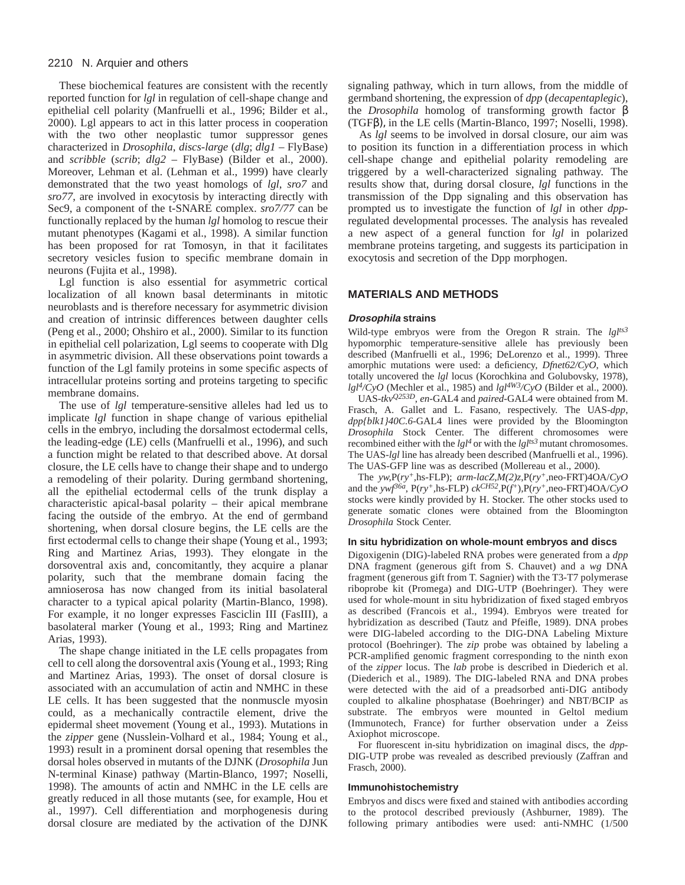These biochemical features are consistent with the recently reported function for *lgl* in regulation of cell-shape change and epithelial cell polarity (Manfruelli et al., 1996; Bilder et al., 2000). Lgl appears to act in this latter process in cooperation with the two other neoplastic tumor suppressor genes characterized in *Drosophila*, *discs-large* (*dlg*; *dlg1* – FlyBase) and *scribble* (*scrib*; *dlg2* – FlyBase) (Bilder et al., 2000). Moreover, Lehman et al. (Lehman et al., 1999) have clearly demonstrated that the two yeast homologs of *lgl*, *sro7* and *sro77*, are involved in exocytosis by interacting directly with Sec9, a component of the t-SNARE complex. *sro7/77* can be functionally replaced by the human *lgl* homolog to rescue their mutant phenotypes (Kagami et al., 1998). A similar function has been proposed for rat Tomosyn, in that it facilitates secretory vesicles fusion to specific membrane domain in neurons (Fujita et al., 1998).

Lgl function is also essential for asymmetric cortical localization of all known basal determinants in mitotic neuroblasts and is therefore necessary for asymmetric division and creation of intrinsic differences between daughter cells (Peng et al., 2000; Ohshiro et al., 2000). Similar to its function in epithelial cell polarization, Lgl seems to cooperate with Dlg in asymmetric division. All these observations point towards a function of the Lgl family proteins in some specific aspects of intracellular proteins sorting and proteins targeting to specific membrane domains.

The use of *lgl* temperature-sensitive alleles had led us to implicate *lgl* function in shape change of various epithelial cells in the embryo, including the dorsalmost ectodermal cells, the leading-edge (LE) cells (Manfruelli et al., 1996), and such a function might be related to that described above. At dorsal closure, the LE cells have to change their shape and to undergo a remodeling of their polarity. During germband shortening, all the epithelial ectodermal cells of the trunk display a characteristic apical-basal polarity – their apical membrane facing the outside of the embryo. At the end of germband shortening, when dorsal closure begins, the LE cells are the first ectodermal cells to change their shape (Young et al., 1993; Ring and Martinez Arias, 1993). They elongate in the dorsoventral axis and, concomitantly, they acquire a planar polarity, such that the membrane domain facing the amnioserosa has now changed from its initial basolateral character to a typical apical polarity (Martin-Blanco, 1998). For example, it no longer expresses Fasciclin III (FasIII), a basolateral marker (Young et al., 1993; Ring and Martinez Arias, 1993).

The shape change initiated in the LE cells propagates from cell to cell along the dorsoventral axis (Young et al., 1993; Ring and Martinez Arias, 1993). The onset of dorsal closure is associated with an accumulation of actin and NMHC in these LE cells. It has been suggested that the nonmuscle myosin could, as a mechanically contractile element, drive the epidermal sheet movement (Young et al., 1993). Mutations in the *zipper* gene (Nusslein-Volhard et al., 1984; Young et al., 1993) result in a prominent dorsal opening that resembles the dorsal holes observed in mutants of the DJNK (*Drosophila* Jun N-terminal Kinase) pathway (Martin-Blanco, 1997; Noselli, 1998). The amounts of actin and NMHC in the LE cells are greatly reduced in all those mutants (see, for example, Hou et al., 1997). Cell differentiation and morphogenesis during dorsal closure are mediated by the activation of the DJNK signaling pathway, which in turn allows, from the middle of germband shortening, the expression of *dpp* (*decapentaplegic*), the *Drosophila* homolog of transforming growth factor β (TGFβ), in the LE cells (Martin-Blanco, 1997; Noselli, 1998).

As *lgl* seems to be involved in dorsal closure, our aim was to position its function in a differentiation process in which cell-shape change and epithelial polarity remodeling are triggered by a well-characterized signaling pathway. The results show that, during dorsal closure, *lgl* functions in the transmission of the Dpp signaling and this observation has prompted us to investigate the function of *lgl* in other *dpp*regulated developmental processes. The analysis has revealed a new aspect of a general function for *lgl* in polarized membrane proteins targeting, and suggests its participation in exocytosis and secretion of the Dpp morphogen.

# **MATERIALS AND METHODS**

## **Drosophila strains**

Wild-type embryos were from the Oregon R strain. The *lglts3* hypomorphic temperature-sensitive allele has previously been described (Manfruelli et al., 1996; DeLorenzo et al., 1999). Three amorphic mutations were used: a deficiency, *Dfnet62/CyO*, which totally uncovered the *lgl* locus (Korochkina and Golubovsky, 1978),  $lgl<sup>4</sup>/CyO$  (Mechler et al., 1985) and  $lgl<sup>4W3</sup>/CyO$  (Bilder et al., 2000).

UAS-*tkvQ253D*, *en-*GAL4 and *paired*-GAL4 were obtained from M. Frasch, A. Gallet and L. Fasano, respectively. The UAS-*dpp*, *dpp{blk1}40C.6*-GAL4 lines were provided by the Bloomington *Drosophila* Stock Center. The different chromosomes were recombined either with the  $lgl<sup>4</sup>$  or with the  $lgl<sup>ts3</sup>$  mutant chromosomes. The UAS-*lgl* line has already been described (Manfruelli et al., 1996). The UAS-GFP line was as described (Mollereau et al., 2000).

The *yw,*P(*ry+,*hs-FLP); *arm*-*lacZ,M(2)z*,P(*ry+,*neo-FRT)4OA/*CyO* and the *ywf36a*, P(*ry+,*hs-FLP) *ckCH52*,P(*f <sup>+</sup>*)*,*P(*ry+,*neo-FRT)4OA/*CyO* stocks were kindly provided by H. Stocker. The other stocks used to generate somatic clones were obtained from the Bloomington *Drosophila* Stock Center.

#### **In situ hybridization on whole-mount embryos and discs**

Digoxigenin (DIG)-labeled RNA probes were generated from a *dpp* DNA fragment (generous gift from S. Chauvet) and a *wg* DNA fragment (generous gift from T. Sagnier) with the T3-T7 polymerase riboprobe kit (Promega) and DIG-UTP (Boehringer). They were used for whole-mount in situ hybridization of fixed staged embryos as described (Francois et al., 1994). Embryos were treated for hybridization as described (Tautz and Pfeifle, 1989). DNA probes were DIG-labeled according to the DIG-DNA Labeling Mixture protocol (Boehringer). The *zip* probe was obtained by labeling a PCR-amplified genomic fragment corresponding to the ninth exon of the *zipper* locus. The *lab* probe is described in Diederich et al. (Diederich et al., 1989). The DIG-labeled RNA and DNA probes were detected with the aid of a preadsorbed anti-DIG antibody coupled to alkaline phosphatase (Boehringer) and NBT/BCIP as substrate. The embryos were mounted in Geltol medium (Immunotech, France) for further observation under a Zeiss Axiophot microscope.

For fluorescent in-situ hybridization on imaginal discs, the *dpp*-DIG-UTP probe was revealed as described previously (Zaffran and Frasch, 2000).

#### **Immunohistochemistry**

Embryos and discs were fixed and stained with antibodies according to the protocol described previously (Ashburner, 1989). The following primary antibodies were used: anti-NMHC (1/500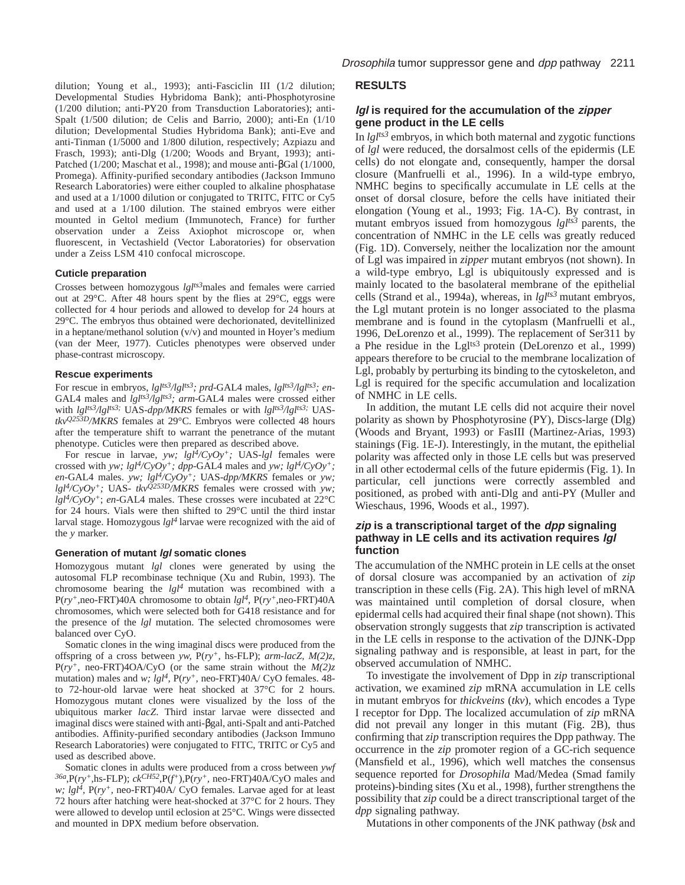dilution; Young et al., 1993); anti-Fasciclin III (1/2 dilution; Developmental Studies Hybridoma Bank); anti-Phosphotyrosine (1/200 dilution; anti-PY20 from Transduction Laboratories); anti-Spalt (1/500 dilution; de Celis and Barrio, 2000); anti-En (1/10 dilution; Developmental Studies Hybridoma Bank); anti-Eve and anti-Tinman (1/5000 and 1/800 dilution, respectively; Azpiazu and Frasch, 1993); anti-Dlg (1/200; Woods and Bryant, 1993); anti-Patched (1/200; Maschat et al., 1998); and mouse anti-βGal (1/1000, Promega). Affinity-purified secondary antibodies (Jackson Immuno Research Laboratories) were either coupled to alkaline phosphatase and used at a 1/1000 dilution or conjugated to TRITC, FITC or Cy5 and used at a 1/100 dilution. The stained embryos were either mounted in Geltol medium (Immunotech, France) for further observation under a Zeiss Axiophot microscope or, when fluorescent, in Vectashield (Vector Laboratories) for observation under a Zeiss LSM 410 confocal microscope.

#### **Cuticle preparation**

Crosses between homozygous *lglts3*males and females were carried out at 29°C. After 48 hours spent by the flies at 29°C, eggs were collected for 4 hour periods and allowed to develop for 24 hours at 29°C. The embryos thus obtained were dechorionated, devitellinized in a heptane/methanol solution  $(v/v)$  and mounted in Hoyer's medium (van der Meer, 1977). Cuticles phenotypes were observed under phase-contrast microscopy.

#### **Rescue experiments**

For rescue in embryos, *lglts3/lglts3; prd*-GAL4 males, *lglts3/lglts3; en*-GAL4 males and *lglts3/lglts3; arm*-GAL4 males were crossed either with *lgl<sup>ts3</sup>/lgl<sup>ts3;</sup>* UAS-*dpp/MKRS* females or with *lgl<sup>ts3</sup>/lgl<sup>ts3;</sup>* UAS*tkvQ253D/MKRS* females at 29°C. Embryos were collected 48 hours after the temperature shift to warrant the penetrance of the mutant phenotype. Cuticles were then prepared as described above.

For rescue in larvae, *yw; lgl4/CyOy+;* UAS-*lgl* females were crossed with *yw; lgl4/CyOy+; dpp*-GAL4 males and *yw; lgl4/CyOy+; en*-GAL4 males. *yw;*  $lgl<sup>4</sup>/CyOy<sup>+</sup>$ ; UAS- $dpp/MKRS$  females or *yw*;  $lgl^{4}/CyOy^{+}$ ; UAS-  $tkv^{Q253D}/MKRS$  females were crossed with *yw*; *lgl4/CyOy+*; *en*-GAL4 males. These crosses were incubated at 22°C for 24 hours. Vials were then shifted to 29°C until the third instar larval stage. Homozygous *lgl4* larvae were recognized with the aid of the *y* marker*.*

#### **Generation of mutant lgl somatic clones**

Homozygous mutant *lgl* clones were generated by using the autosomal FLP recombinase technique (Xu and Rubin, 1993). The chromosome bearing the *lgl4* mutation was recombined with a P(*ry+,*neo-FRT)40A chromosome to obtain *lgl4,* P(*ry+,*neo-FRT)40A chromosomes, which were selected both for G418 resistance and for the presence of the *lgl* mutation. The selected chromosomes were balanced over CyO.

Somatic clones in the wing imaginal discs were produced from the offspring of a cross between *yw,* P(*ry+,* hs-FLP); *arm*-*lacZ, M(2)z*, P(*ry+,* neo-FRT)4OA/CyO (or the same strain without the *M(2)z* mutation) males and *w; lgl4,* P(*ry+,* neo-FRT)40A/ CyO females. 48 to 72-hour-old larvae were heat shocked at 37°C for 2 hours. Homozygous mutant clones were visualized by the loss of the ubiquitous marker *lacZ*. Third instar larvae were dissected and imaginal discs were stained with anti-βgal, anti-Spalt and anti-Patched antibodies. Affinity-purified secondary antibodies (Jackson Immuno Research Laboratories) were conjugated to FITC, TRITC or Cy5 and used as described above.

Somatic clones in adults were produced from a cross between *ywf 36a*,P(*ry+,*hs-FLP); *ckCH52*,P(*f <sup>+</sup>*)*,*P(*ry+,* neo-FRT)40A/CyO males and *w; lgl4,* P(*ry+,* neo-FRT)40A/ CyO females. Larvae aged for at least 72 hours after hatching were heat-shocked at 37°C for 2 hours. They were allowed to develop until eclosion at 25°C. Wings were dissected and mounted in DPX medium before observation.

# **RESULTS**

# **lgl is required for the accumulation of the zipper gene product in the LE cells**

In *lglts3* embryos, in which both maternal and zygotic functions of *lgl* were reduced, the dorsalmost cells of the epidermis (LE cells) do not elongate and, consequently, hamper the dorsal closure (Manfruelli et al., 1996). In a wild-type embryo, NMHC begins to specifically accumulate in LE cells at the onset of dorsal closure, before the cells have initiated their elongation (Young et al., 1993; Fig. 1A-C). By contrast, in mutant embryos issued from homozygous *lglts3* parents, the concentration of NMHC in the LE cells was greatly reduced (Fig. 1D). Conversely, neither the localization nor the amount of Lgl was impaired in *zipper* mutant embryos (not shown). In a wild-type embryo, Lgl is ubiquitously expressed and is mainly located to the basolateral membrane of the epithelial cells (Strand et al., 1994a), whereas, in *lglts3* mutant embryos, the Lgl mutant protein is no longer associated to the plasma membrane and is found in the cytoplasm (Manfruelli et al., 1996, DeLorenzo et al., 1999). The replacement of Ser311 by a Phe residue in the Lgl<sup>ts3</sup> protein (DeLorenzo et al., 1999) appears therefore to be crucial to the membrane localization of Lgl, probably by perturbing its binding to the cytoskeleton, and Lgl is required for the specific accumulation and localization of NMHC in LE cells.

In addition, the mutant LE cells did not acquire their novel polarity as shown by Phosphotyrosine (PY), Discs-large (Dlg) (Woods and Bryant, 1993) or FasIII (Martinez-Arias, 1993) stainings (Fig. 1E-J). Interestingly, in the mutant, the epithelial polarity was affected only in those LE cells but was preserved in all other ectodermal cells of the future epidermis (Fig. 1). In particular, cell junctions were correctly assembled and positioned, as probed with anti-Dlg and anti-PY (Muller and Wieschaus, 1996, Woods et al., 1997).

# **zip is a transcriptional target of the dpp signaling pathway in LE cells and its activation requires lgl function**

The accumulation of the NMHC protein in LE cells at the onset of dorsal closure was accompanied by an activation of *zip* transcription in these cells (Fig. 2A). This high level of mRNA was maintained until completion of dorsal closure, when epidermal cells had acquired their final shape (not shown). This observation strongly suggests that *zip* transcription is activated in the LE cells in response to the activation of the DJNK-Dpp signaling pathway and is responsible, at least in part, for the observed accumulation of NMHC.

To investigate the involvement of Dpp in *zip* transcriptional activation, we examined *zip* mRNA accumulation in LE cells in mutant embryos for *thickveins* (*tkv*)*,* which encodes a Type I receptor for Dpp. The localized accumulation of *zip* mRNA did not prevail any longer in this mutant (Fig. 2B), thus confirming that *zip* transcription requires the Dpp pathway. The occurrence in the *zip* promoter region of a GC-rich sequence (Mansfield et al., 1996), which well matches the consensus sequence reported for *Drosophila* Mad/Medea (Smad family proteins)*-*binding sites (Xu et al., 1998), further strengthens the possibility that *zip* could be a direct transcriptional target of the *dpp* signaling pathway.

Mutations in other components of the JNK pathway (*bsk* and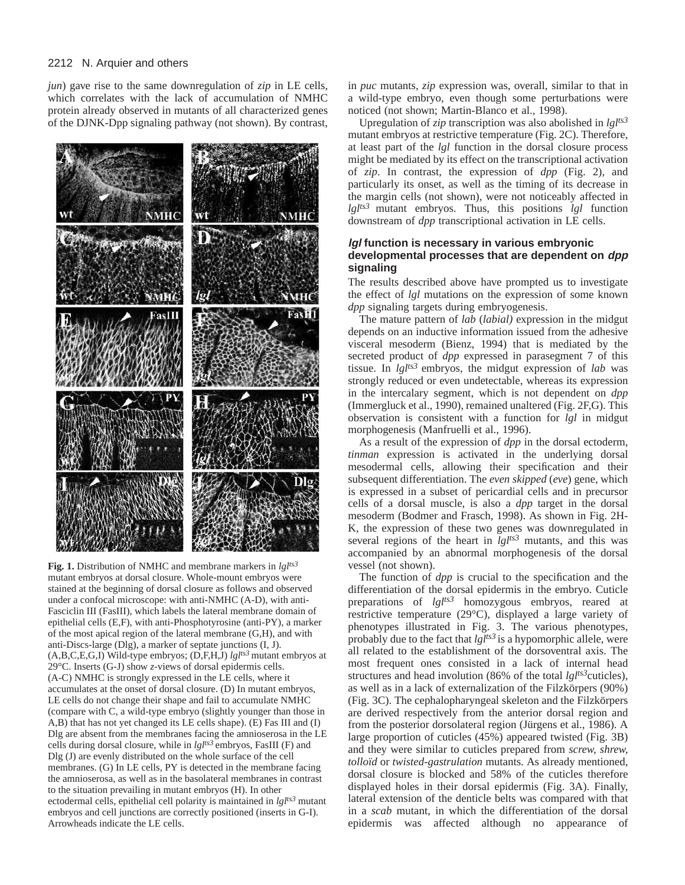*jun*) gave rise to the same downregulation of *zip* in LE cells, which correlates with the lack of accumulation of NMHC protein already observed in mutants of all characterized genes of the DJNK-Dpp signaling pathway (not shown). By contrast,



**Fig. 1.** Distribution of NMHC and membrane markers in *lglts3* mutant embryos at dorsal closure. Whole-mount embryos were stained at the beginning of dorsal closure as follows and observed under a confocal microscope: with anti-NMHC (A-D), with anti-Fasciclin III (FasIII), which labels the lateral membrane domain of epithelial cells (E,F), with anti-Phosphotyrosine (anti-PY), a marker of the most apical region of the lateral membrane (G,H), and with anti-Discs-large (Dlg), a marker of septate junctions (I, J). (A,B,C,E,G,I) Wild-type embryos; (D,F,H,J) *lglts3* mutant embryos at 29°C. Inserts (G-J) show *z*-views of dorsal epidermis cells. (A-C) NMHC is strongly expressed in the LE cells, where it accumulates at the onset of dorsal closure. (D) In mutant embryos, LE cells do not change their shape and fail to accumulate NMHC (compare with C, a wild-type embryo (slightly younger than those in A,B) that has not yet changed its LE cells shape). (E) Fas III and (I) Dlg are absent from the membranes facing the amnioserosa in the LE cells during dorsal closure, while in *lglts3* embryos, FasIII (F) and Dlg (J) are evenly distributed on the whole surface of the cell membranes. (G) In LE cells, PY is detected in the membrane facing the amnioserosa, as well as in the basolateral membranes in contrast to the situation prevailing in mutant embryos (H). In other ectodermal cells, epithelial cell polarity is maintained in *lglts3* mutant embryos and cell junctions are correctly positioned (inserts in G-I). Arrowheads indicate the LE cells.

in *puc* mutants, *zip* expression was, overall, similar to that in a wild-type embryo, even though some perturbations were noticed (not shown; Martin-Blanco et al., 1998).

Upregulation of *zip* transcription was also abolished in *lglts3* mutant embryos at restrictive temperature (Fig. 2C). Therefore, at least part of the *lgl* function in the dorsal closure process might be mediated by its effect on the transcriptional activation of *zip*. In contrast, the expression of *dpp* (Fig. 2), and particularly its onset, as well as the timing of its decrease in the margin cells (not shown), were not noticeably affected in *lglts3* mutant embryos. Thus, this positions *lgl* function downstream of *dpp* transcriptional activation in LE cells.

# **lgl function is necessary in various embryonic developmental processes that are dependent on dpp signaling**

The results described above have prompted us to investigate the effect of *lgl* mutations on the expression of some known *dpp* signaling targets during embryogenesis.

The mature pattern of *lab* (*labial)* expression in the midgut depends on an inductive information issued from the adhesive visceral mesoderm (Bienz, 1994) that is mediated by the secreted product of *dpp* expressed in parasegment 7 of this tissue. In *lglts3* embryos, the midgut expression of *lab* was strongly reduced or even undetectable, whereas its expression in the intercalary segment, which is not dependent on *dpp* (Immergluck et al., 1990), remained unaltered (Fig. 2F,G). This observation is consistent with a function for *lgl* in midgut morphogenesis (Manfruelli et al., 1996).

As a result of the expression of *dpp* in the dorsal ectoderm, *tinman* expression is activated in the underlying dorsal mesodermal cells, allowing their specification and their subsequent differentiation. The *even skipped* (*eve*) gene, which is expressed in a subset of pericardial cells and in precursor cells of a dorsal muscle, is also a *dpp* target in the dorsal mesoderm (Bodmer and Frasch, 1998). As shown in Fig. 2H-K, the expression of these two genes was downregulated in several regions of the heart in *lglts3* mutants, and this was accompanied by an abnormal morphogenesis of the dorsal vessel (not shown).

The function of *dpp* is crucial to the specification and the differentiation of the dorsal epidermis in the embryo. Cuticle preparations of *lglts3* homozygous embryos, reared at restrictive temperature (29°C), displayed a large variety of phenotypes illustrated in Fig. 3. The various phenotypes, probably due to the fact that *lglts3* is a hypomorphic allele, were all related to the establishment of the dorsoventral axis. The most frequent ones consisted in a lack of internal head structures and head involution (86% of the total *lglts3*cuticles), as well as in a lack of externalization of the Filzkörpers (90%) (Fig. 3C). The cephalopharyngeal skeleton and the Filzkörpers are derived respectively from the anterior dorsal region and from the posterior dorsolateral region (Jürgens et al., 1986). A large proportion of cuticles (45%) appeared twisted (Fig. 3B) and they were similar to cuticles prepared from *screw, shrew, tolloïd* or *twisted-gastrulation* mutants. As already mentioned, dorsal closure is blocked and 58% of the cuticles therefore displayed holes in their dorsal epidermis (Fig. 3A). Finally, lateral extension of the denticle belts was compared with that in a *scab* mutant, in which the differentiation of the dorsal epidermis was affected although no appearance of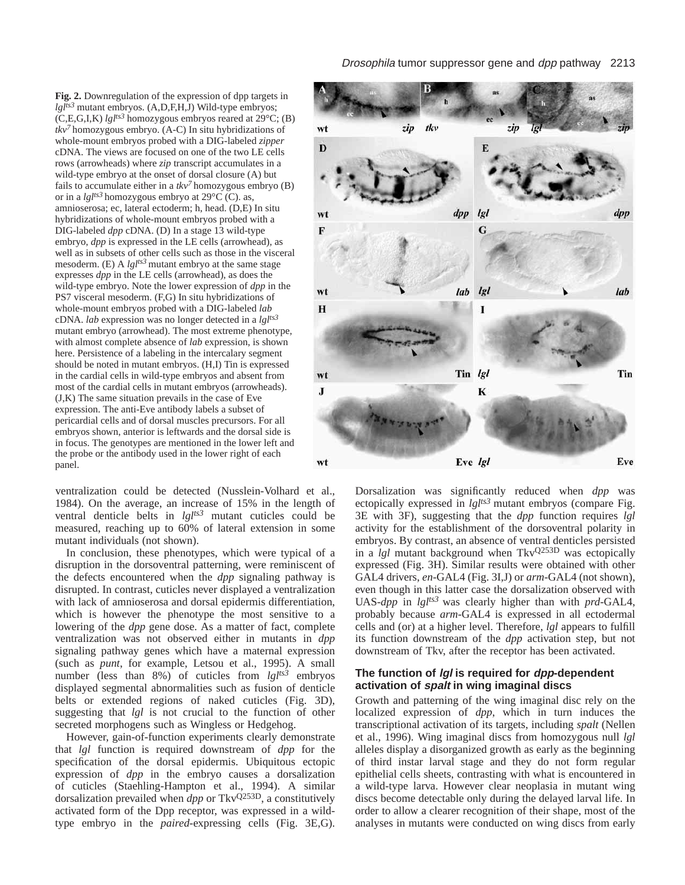**Fig. 2.** Downregulation of the expression of dpp targets in *lglts3* mutant embryos. (A,D,F,H,J) Wild-type embryos;  $(C, E, G, I, K)$  *lgl<sup>ts3</sup>* homozygous embryos reared at 29 $\degree$ C; (B) *tkv7* homozygous embryo. (A-C) In situ hybridizations of whole-mount embryos probed with a DIG-labeled *zipper* cDNA. The views are focused on one of the two LE cells rows (arrowheads) where *zip* transcript accumulates in a wild-type embryo at the onset of dorsal closure (A) but fails to accumulate either in a  $tkv<sup>7</sup>$  homozygous embryo (B) or in a *lglts3* homozygous embryo at 29°C (C). as, amnioserosa; ec, lateral ectoderm; h, head. (D,E) In situ hybridizations of whole-mount embryos probed with a DIG-labeled *dpp* cDNA. (D) In a stage 13 wild-type embryo, *dpp* is expressed in the LE cells (arrowhead), as well as in subsets of other cells such as those in the visceral mesoderm. (E) A *lglts3* mutant embryo at the same stage expresses *dpp* in the LE cells (arrowhead), as does the wild-type embryo. Note the lower expression of *dpp* in the PS7 visceral mesoderm. (F,G) In situ hybridizations of whole-mount embryos probed with a DIG-labeled *lab* cDNA. *lab* expression was no longer detected in a *lglts3* mutant embryo (arrowhead). The most extreme phenotype, with almost complete absence of *lab* expression, is shown here. Persistence of a labeling in the intercalary segment should be noted in mutant embryos. (H,I) Tin is expressed in the cardial cells in wild-type embryos and absent from most of the cardial cells in mutant embryos (arrowheads). (J,K) The same situation prevails in the case of Eve expression. The anti-Eve antibody labels a subset of pericardial cells and of dorsal muscles precursors. For all embryos shown, anterior is leftwards and the dorsal side is in focus. The genotypes are mentioned in the lower left and the probe or the antibody used in the lower right of each panel.

ventralization could be detected (Nusslein-Volhard et al., 1984). On the average, an increase of 15% in the length of ventral denticle belts in *lglts3* mutant cuticles could be measured, reaching up to 60% of lateral extension in some mutant individuals (not shown).

In conclusion, these phenotypes, which were typical of a disruption in the dorsoventral patterning, were reminiscent of the defects encountered when the *dpp* signaling pathway is disrupted. In contrast, cuticles never displayed a ventralization with lack of amnioserosa and dorsal epidermis differentiation, which is however the phenotype the most sensitive to a lowering of the *dpp* gene dose. As a matter of fact, complete ventralization was not observed either in mutants in *dpp* signaling pathway genes which have a maternal expression (such as *punt*, for example, Letsou et al., 1995). A small number (less than 8%) of cuticles from *lglts3* embryos displayed segmental abnormalities such as fusion of denticle belts or extended regions of naked cuticles (Fig. 3D), suggesting that *lgl* is not crucial to the function of other secreted morphogens such as Wingless or Hedgehog.

However, gain-of-function experiments clearly demonstrate that *lgl* function is required downstream of *dpp* for the specification of the dorsal epidermis. Ubiquitous ectopic expression of *dpp* in the embryo causes a dorsalization of cuticles (Staehling-Hampton et al., 1994). A similar dorsalization prevailed when *dpp* or TkvQ253D, a constitutively activated form of the Dpp receptor, was expressed in a wildtype embryo in the *paired*-expressing cells (Fig. 3E,G).



Dorsalization was significantly reduced when *dpp* was ectopically expressed in *lglts3* mutant embryos (compare Fig. 3E with 3F), suggesting that the *dpp* function requires *lgl* activity for the establishment of the dorsoventral polarity in embryos. By contrast, an absence of ventral denticles persisted in a *lgl* mutant background when TkvQ253D was ectopically expressed (Fig. 3H). Similar results were obtained with other GAL4 drivers, *en-*GAL4 (Fig. 3I,J) or *arm-*GAL4 (not shown), even though in this latter case the dorsalization observed with UAS-*dpp* in *lglts3* was clearly higher than with *prd-*GAL4, probably because *arm-*GAL4 is expressed in all ectodermal cells and (or) at a higher level. Therefore, *lgl* appears to fulfill its function downstream of the *dpp* activation step, but not downstream of Tkv, after the receptor has been activated.

# **The function of lgl is required for dpp-dependent activation of spalt in wing imaginal discs**

Growth and patterning of the wing imaginal disc rely on the localized expression of *dpp*, which in turn induces the transcriptional activation of its targets, including *spalt* (Nellen et al., 1996). Wing imaginal discs from homozygous null *lgl* alleles display a disorganized growth as early as the beginning of third instar larval stage and they do not form regular epithelial cells sheets, contrasting with what is encountered in a wild-type larva. However clear neoplasia in mutant wing discs become detectable only during the delayed larval life. In order to allow a clearer recognition of their shape, most of the analyses in mutants were conducted on wing discs from early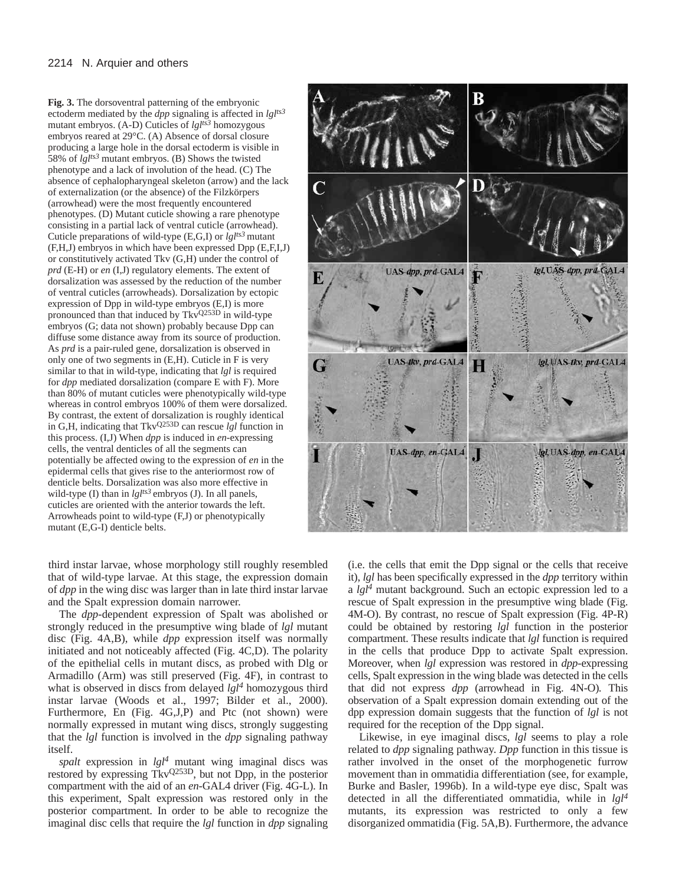**Fig. 3.** The dorsoventral patterning of the embryonic ectoderm mediated by the *dpp* signaling is affected in *lglts3* mutant embryos. (A-D) Cuticles of *lglts3* homozygous embryos reared at 29°C. (A) Absence of dorsal closure producing a large hole in the dorsal ectoderm is visible in 58% of *lglts3* mutant embryos. (B) Shows the twisted phenotype and a lack of involution of the head. (C) The absence of cephalopharyngeal skeleton (arrow) and the lack of externalization (or the absence) of the Filzkörpers (arrowhead) were the most frequently encountered phenotypes. (D) Mutant cuticle showing a rare phenotype consisting in a partial lack of ventral cuticle (arrowhead). Cuticle preparations of wild-type (E,G,I) or *lglts3* mutant (F,H,J) embryos in which have been expressed Dpp (E,F,I,J) or constitutively activated Tkv (G,H) under the control of *prd* (E-H) or *en* (I,J) regulatory elements. The extent of dorsalization was assessed by the reduction of the number of ventral cuticles (arrowheads). Dorsalization by ectopic expression of Dpp in wild-type embryos (E,I) is more pronounced than that induced by TkvQ253D in wild-type embryos (G; data not shown) probably because Dpp can diffuse some distance away from its source of production. As *prd* is a pair-ruled gene, dorsalization is observed in only one of two segments in (E,H). Cuticle in F is very similar to that in wild-type, indicating that *lgl* is required for *dpp* mediated dorsalization (compare E with F). More than 80% of mutant cuticles were phenotypically wild-type whereas in control embryos 100% of them were dorsalized. By contrast, the extent of dorsalization is roughly identical in G,H, indicating that TkvQ253D can rescue *lgl* function in this process. (I,J) When *dpp* is induced in *en*-expressing cells, the ventral denticles of all the segments can potentially be affected owing to the expression of *en* in the epidermal cells that gives rise to the anteriormost row of denticle belts. Dorsalization was also more effective in wild-type (I) than in *lglts3* embryos (J). In all panels, cuticles are oriented with the anterior towards the left. Arrowheads point to wild-type (F,J) or phenotypically mutant (E,G-I) denticle belts.

В lgl, UAS dpp, prd UAS-dpp, prd-GAL4 17 Đ UAS-tkv, prd-GAL4 Igl, UAS-tkv, prd-GAL4 H G UAS-app, en-GAL4 lgl, UAS-dpp, en-GAL4

third instar larvae, whose morphology still roughly resembled that of wild-type larvae. At this stage, the expression domain of *dpp* in the wing disc was larger than in late third instar larvae and the Spalt expression domain narrower.

The *dpp*-dependent expression of Spalt was abolished or strongly reduced in the presumptive wing blade of *lgl* mutant disc (Fig. 4A,B), while *dpp* expression itself was normally initiated and not noticeably affected (Fig. 4C,D). The polarity of the epithelial cells in mutant discs, as probed with Dlg or Armadillo (Arm) was still preserved (Fig. 4F), in contrast to what is observed in discs from delayed *lgl<sup>4</sup>* homozygous third instar larvae (Woods et al., 1997; Bilder et al., 2000). Furthermore, En (Fig. 4G,J,P) and Ptc (not shown) were normally expressed in mutant wing discs, strongly suggesting that the *lgl* function is involved in the *dpp* signaling pathway itself.

*spalt* expression in *lgl4* mutant wing imaginal discs was restored by expressing TkvQ253D, but not Dpp, in the posterior compartment with the aid of an *en*-GAL4 driver (Fig. 4G-L). In this experiment, Spalt expression was restored only in the posterior compartment. In order to be able to recognize the imaginal disc cells that require the *lgl* function in *dpp* signaling

(i.e. the cells that emit the Dpp signal or the cells that receive it), *lgl* has been specifically expressed in the *dpp* territory within a *lgl4* mutant background. Such an ectopic expression led to a rescue of Spalt expression in the presumptive wing blade (Fig. 4M-O). By contrast, no rescue of Spalt expression (Fig. 4P-R) could be obtained by restoring *lgl* function in the posterior compartment. These results indicate that *lgl* function is required in the cells that produce Dpp to activate Spalt expression. Moreover, when *lgl* expression was restored in *dpp*-expressing cells, Spalt expression in the wing blade was detected in the cells that did not express *dpp* (arrowhead in Fig. 4N-O)*.* This observation of a Spalt expression domain extending out of the dpp expression domain suggests that the function of *lgl* is not required for the reception of the Dpp signal.

Likewise, in eye imaginal discs, *lgl* seems to play a role related to *dpp* signaling pathway. *Dpp* function in this tissue is rather involved in the onset of the morphogenetic furrow movement than in ommatidia differentiation (see, for example, Burke and Basler, 1996b). In a wild-type eye disc, Spalt was detected in all the differentiated ommatidia, while in *lgl<sup>4</sup>* mutants, its expression was restricted to only a few disorganized ommatidia (Fig. 5A,B). Furthermore, the advance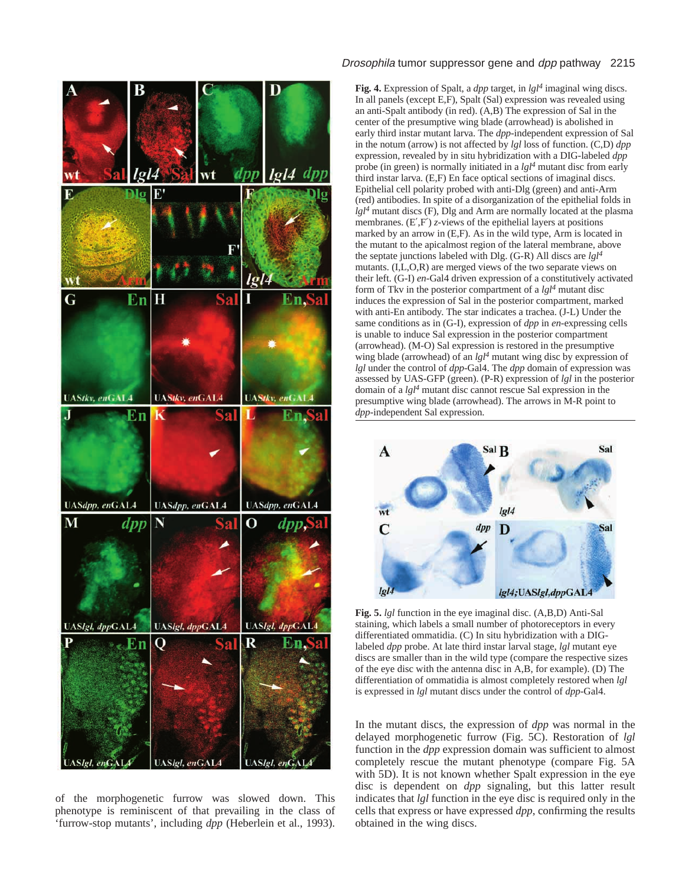

of the morphogenetic furrow was slowed down. This phenotype is reminiscent of that prevailing in the class of 'furrow-stop mutants', including *dpp* (Heberlein et al., 1993).

# Drosophila tumor suppressor gene and dpp pathway 2215

**Fig. 4.** Expression of Spalt, a *dpp* target, in *lgl4* imaginal wing discs. In all panels (except E,F), Spalt (Sal) expression was revealed using an anti-Spalt antibody (in red). (A,B) The expression of Sal in the center of the presumptive wing blade (arrowhead) is abolished in early third instar mutant larva. The *dpp*-independent expression of Sal in the notum (arrow) is not affected by *lgl* loss of function. (C,D) *dpp* expression, revealed by in situ hybridization with a DIG-labeled *dpp* probe (in green) is normally initiated in a *lgl4* mutant disc from early third instar larva. (E,F) En face optical sections of imaginal discs. Epithelial cell polarity probed with anti-Dlg (green) and anti-Arm (red) antibodies. In spite of a disorganization of the epithelial folds in *lgl4* mutant discs (F), Dlg and Arm are normally located at the plasma membranes. (E',F') *z*-views of the epithelial layers at positions marked by an arrow in (E,F). As in the wild type, Arm is located in the mutant to the apicalmost region of the lateral membrane, above the septate junctions labeled with Dlg. (G-R) All discs are *lgl4* mutants. (I,L,O,R) are merged views of the two separate views on their left. (G-I) *en*-Gal4 driven expression of a constitutively activated form of Tkv in the posterior compartment of a *lgl4* mutant disc induces the expression of Sal in the posterior compartment, marked with anti-En antibody. The star indicates a trachea. (J-L) Under the same conditions as in (G-I), expression of *dpp* in *en*-expressing cells is unable to induce Sal expression in the posterior compartment (arrowhead). (M-O) Sal expression is restored in the presumptive wing blade (arrowhead) of an *lgl4* mutant wing disc by expression of *lgl* under the control of *dpp*-Gal4. The *dpp* domain of expression was assessed by UAS-GFP (green). (P-R) expression of *lgl* in the posterior domain of a *lgl4* mutant disc cannot rescue Sal expression in the presumptive wing blade (arrowhead). The arrows in M-R point to *dpp*-independent Sal expression.



**Fig. 5.** *lgl* function in the eye imaginal disc. (A,B,D) Anti-Sal staining, which labels a small number of photoreceptors in every differentiated ommatidia. (C) In situ hybridization with a DIGlabeled *dpp* probe. At late third instar larval stage, *lgl* mutant eye discs are smaller than in the wild type (compare the respective sizes of the eye disc with the antenna disc in A,B, for example). (D) The differentiation of ommatidia is almost completely restored when *lgl* is expressed in *lgl* mutant discs under the control of *dpp-*Gal4.

In the mutant discs, the expression of *dpp* was normal in the delayed morphogenetic furrow (Fig. 5C). Restoration of *lgl* function in the *dpp* expression domain was sufficient to almost completely rescue the mutant phenotype (compare Fig. 5A with 5D). It is not known whether Spalt expression in the eye disc is dependent on *dpp* signaling, but this latter result indicates that *lgl* function in the eye disc is required only in the cells that express or have expressed *dpp*, confirming the results obtained in the wing discs.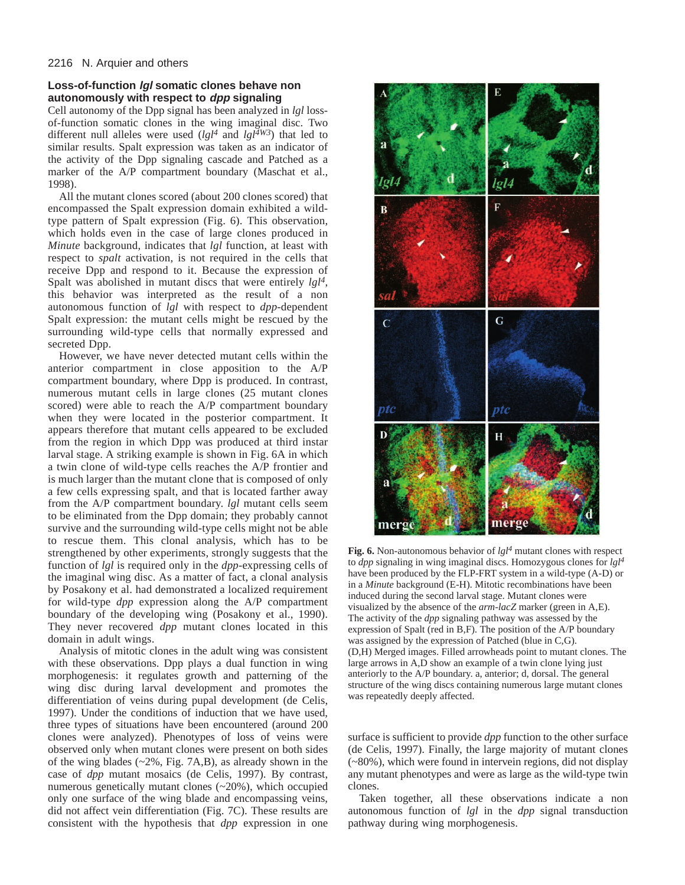# **Loss-of-function lgl somatic clones behave non autonomously with respect to dpp signaling**

Cell autonomy of the Dpp signal has been analyzed in *lgl* lossof-function somatic clones in the wing imaginal disc. Two different null alleles were used  $(lgl<sup>4</sup>$  and  $lgl<sup>4W3</sup>$ ) that led to similar results. Spalt expression was taken as an indicator of the activity of the Dpp signaling cascade and Patched as a marker of the A/P compartment boundary (Maschat et al., 1998).

All the mutant clones scored (about 200 clones scored) that encompassed the Spalt expression domain exhibited a wildtype pattern of Spalt expression (Fig. 6). This observation, which holds even in the case of large clones produced in *Minute* background, indicates that *lgl* function, at least with respect to *spalt* activation, is not required in the cells that receive Dpp and respond to it. Because the expression of Spalt was abolished in mutant discs that were entirely *lgl4*, this behavior was interpreted as the result of a non autonomous function of *lgl* with respect to *dpp*-dependent Spalt expression: the mutant cells might be rescued by the surrounding wild-type cells that normally expressed and secreted Dpp.

However, we have never detected mutant cells within the anterior compartment in close apposition to the A/P compartment boundary, where Dpp is produced. In contrast, numerous mutant cells in large clones (25 mutant clones scored) were able to reach the A/P compartment boundary when they were located in the posterior compartment. It appears therefore that mutant cells appeared to be excluded from the region in which Dpp was produced at third instar larval stage. A striking example is shown in Fig. 6A in which a twin clone of wild-type cells reaches the A/P frontier and is much larger than the mutant clone that is composed of only a few cells expressing spalt, and that is located farther away from the A/P compartment boundary. *lgl* mutant cells seem to be eliminated from the Dpp domain; they probably cannot survive and the surrounding wild-type cells might not be able to rescue them. This clonal analysis, which has to be strengthened by other experiments, strongly suggests that the function of *lgl* is required only in the *dpp*-expressing cells of the imaginal wing disc. As a matter of fact, a clonal analysis by Posakony et al. had demonstrated a localized requirement for wild-type *dpp* expression along the A/P compartment boundary of the developing wing (Posakony et al., 1990). They never recovered *dpp* mutant clones located in this domain in adult wings.

Analysis of mitotic clones in the adult wing was consistent with these observations. Dpp plays a dual function in wing morphogenesis: it regulates growth and patterning of the wing disc during larval development and promotes the differentiation of veins during pupal development (de Celis, 1997). Under the conditions of induction that we have used, three types of situations have been encountered (around 200 clones were analyzed). Phenotypes of loss of veins were observed only when mutant clones were present on both sides of the wing blades (~2%, Fig. 7A,B), as already shown in the case of *dpp* mutant mosaics (de Celis, 1997). By contrast, numerous genetically mutant clones (~20%), which occupied only one surface of the wing blade and encompassing veins, did not affect vein differentiation (Fig. 7C). These results are consistent with the hypothesis that *dpp* expression in one



**Fig. 6.** Non-autonomous behavior of *lgl<sup>4</sup>* mutant clones with respect to *dpp* signaling in wing imaginal discs. Homozygous clones for *lgl<sup>4</sup>* have been produced by the FLP-FRT system in a wild-type (A-D) or in a *Minute* background (E-H). Mitotic recombinations have been induced during the second larval stage. Mutant clones were visualized by the absence of the *arm-lacZ* marker (green in A,E). The activity of the *dpp* signaling pathway was assessed by the expression of Spalt (red in B,F). The position of the A/P boundary was assigned by the expression of Patched (blue in C,G). (D,H) Merged images. Filled arrowheads point to mutant clones. The large arrows in A,D show an example of a twin clone lying just anteriorly to the A/P boundary. a, anterior; d, dorsal. The general structure of the wing discs containing numerous large mutant clones was repeatedly deeply affected.

surface is sufficient to provide *dpp* function to the other surface (de Celis, 1997). Finally, the large majority of mutant clones (~80%), which were found in intervein regions, did not display any mutant phenotypes and were as large as the wild-type twin clones.

Taken together, all these observations indicate a non autonomous function of *lgl* in the *dpp* signal transduction pathway during wing morphogenesis.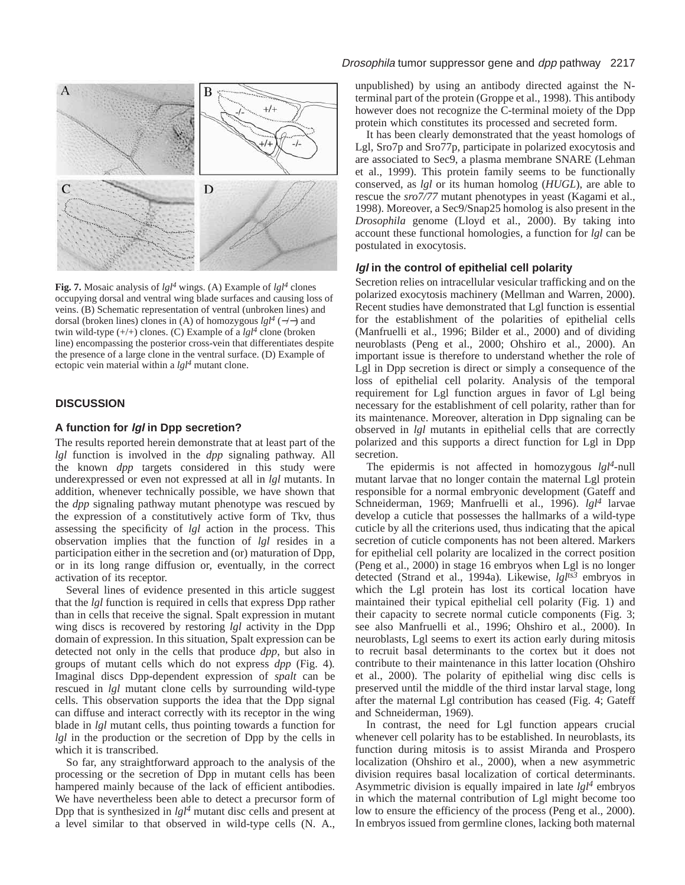

**Fig. 7.** Mosaic analysis of *lgl4* wings. (A) Example of *lgl<sup>4</sup>* clones occupying dorsal and ventral wing blade surfaces and causing loss of veins. (B) Schematic representation of ventral (unbroken lines) and dorsal (broken lines) clones in (A) of homozygous *lgl<sup>4</sup>* (−/−) and twin wild-type (+/+) clones. (C) Example of a *lgl<sup>4</sup>* clone (broken line) encompassing the posterior cross-vein that differentiates despite the presence of a large clone in the ventral surface. (D) Example of ectopic vein material within a *lgl<sup>4</sup>* mutant clone.

# **DISCUSSION**

# **A function for lgl in Dpp secretion?**

The results reported herein demonstrate that at least part of the *lgl* function is involved in the *dpp* signaling pathway. All the known *dpp* targets considered in this study were underexpressed or even not expressed at all in *lgl* mutants. In addition, whenever technically possible, we have shown that the *dpp* signaling pathway mutant phenotype was rescued by the expression of a constitutively active form of Tkv, thus assessing the specificity of *lgl* action in the process. This observation implies that the function of *lgl* resides in a participation either in the secretion and (or) maturation of Dpp, or in its long range diffusion or, eventually, in the correct activation of its receptor.

Several lines of evidence presented in this article suggest that the *lgl* function is required in cells that express Dpp rather than in cells that receive the signal. Spalt expression in mutant wing discs is recovered by restoring *lgl* activity in the Dpp domain of expression. In this situation, Spalt expression can be detected not only in the cells that produce *dpp*, but also in groups of mutant cells which do not express *dpp* (Fig. 4)*.* Imaginal discs Dpp-dependent expression of *spalt* can be rescued in *lgl* mutant clone cells by surrounding wild-type cells. This observation supports the idea that the Dpp signal can diffuse and interact correctly with its receptor in the wing blade in *lgl* mutant cells, thus pointing towards a function for *lgl* in the production or the secretion of Dpp by the cells in which it is transcribed.

So far, any straightforward approach to the analysis of the processing or the secretion of Dpp in mutant cells has been hampered mainly because of the lack of efficient antibodies. We have nevertheless been able to detect a precursor form of Dpp that is synthesized in *lgl4* mutant disc cells and present at a level similar to that observed in wild-type cells (N. A.,

unpublished) by using an antibody directed against the Nterminal part of the protein (Groppe et al., 1998). This antibody however does not recognize the C-terminal moiety of the Dpp protein which constitutes its processed and secreted form.

It has been clearly demonstrated that the yeast homologs of Lgl, Sro7p and Sro77p, participate in polarized exocytosis and are associated to Sec9, a plasma membrane SNARE (Lehman et al., 1999). This protein family seems to be functionally conserved, as *lgl* or its human homolog (*HUGL*), are able to rescue the *sro7/77* mutant phenotypes in yeast (Kagami et al., 1998). Moreover, a Sec9/Snap25 homolog is also present in the *Drosophila* genome (Lloyd et al., 2000). By taking into account these functional homologies, a function for *lgl* can be postulated in exocytosis.

# **lgl in the control of epithelial cell polarity**

Secretion relies on intracellular vesicular trafficking and on the polarized exocytosis machinery (Mellman and Warren, 2000). Recent studies have demonstrated that Lgl function is essential for the establishment of the polarities of epithelial cells (Manfruelli et al., 1996; Bilder et al., 2000) and of dividing neuroblasts (Peng et al., 2000; Ohshiro et al., 2000). An important issue is therefore to understand whether the role of Lgl in Dpp secretion is direct or simply a consequence of the loss of epithelial cell polarity. Analysis of the temporal requirement for Lgl function argues in favor of Lgl being necessary for the establishment of cell polarity, rather than for its maintenance. Moreover, alteration in Dpp signaling can be observed in *lgl* mutants in epithelial cells that are correctly polarized and this supports a direct function for Lgl in Dpp secretion.

The epidermis is not affected in homozygous  $lgl<sup>4</sup>$ -null mutant larvae that no longer contain the maternal Lgl protein responsible for a normal embryonic development (Gateff and Schneiderman, 1969; Manfruelli et al., 1996). *lgl<sup>4</sup>* larvae develop a cuticle that possesses the hallmarks of a wild-type cuticle by all the criterions used, thus indicating that the apical secretion of cuticle components has not been altered. Markers for epithelial cell polarity are localized in the correct position (Peng et al., 2000) in stage 16 embryos when Lgl is no longer detected (Strand et al., 1994a)*.* Likewise, *lglts3* embryos in which the Lgl protein has lost its cortical location have maintained their typical epithelial cell polarity (Fig. 1) and their capacity to secrete normal cuticle components (Fig. 3; see also Manfruelli et al., 1996; Ohshiro et al., 2000). In neuroblasts, Lgl seems to exert its action early during mitosis to recruit basal determinants to the cortex but it does not contribute to their maintenance in this latter location (Ohshiro et al., 2000). The polarity of epithelial wing disc cells is preserved until the middle of the third instar larval stage, long after the maternal Lgl contribution has ceased (Fig. 4; Gateff and Schneiderman, 1969).

In contrast, the need for Lgl function appears crucial whenever cell polarity has to be established. In neuroblasts, its function during mitosis is to assist Miranda and Prospero localization (Ohshiro et al., 2000), when a new asymmetric division requires basal localization of cortical determinants. Asymmetric division is equally impaired in late *lgl<sup>4</sup>* embryos in which the maternal contribution of Lgl might become too low to ensure the efficiency of the process (Peng et al., 2000). In embryos issued from germline clones, lacking both maternal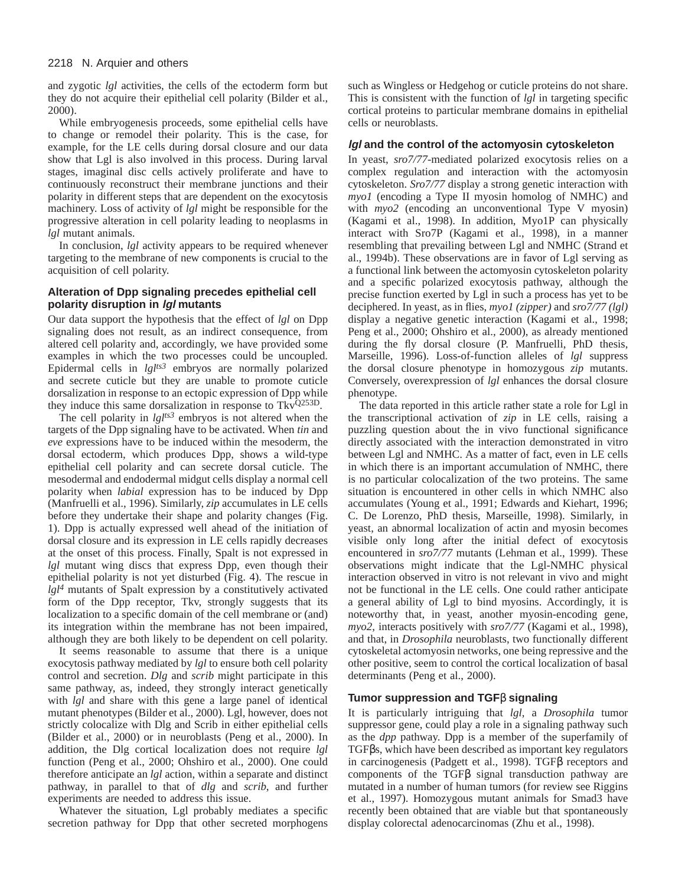and zygotic *lgl* activities, the cells of the ectoderm form but they do not acquire their epithelial cell polarity (Bilder et al., 2000).

While embryogenesis proceeds, some epithelial cells have to change or remodel their polarity. This is the case, for example, for the LE cells during dorsal closure and our data show that Lgl is also involved in this process. During larval stages, imaginal disc cells actively proliferate and have to continuously reconstruct their membrane junctions and their polarity in different steps that are dependent on the exocytosis machinery. Loss of activity of *lgl* might be responsible for the progressive alteration in cell polarity leading to neoplasms in *lgl* mutant animals.

In conclusion, *lgl* activity appears to be required whenever targeting to the membrane of new components is crucial to the acquisition of cell polarity.

# **Alteration of Dpp signaling precedes epithelial cell polarity disruption in lgl mutants**

Our data support the hypothesis that the effect of *lgl* on Dpp signaling does not result, as an indirect consequence, from altered cell polarity and, accordingly, we have provided some examples in which the two processes could be uncoupled. Epidermal cells in *lglts3* embryos are normally polarized and secrete cuticle but they are unable to promote cuticle dorsalization in response to an ectopic expression of Dpp while they induce this same dorsalization in response to  $Tkv^{Q253D}$ .

The cell polarity in *lglts3* embryos is not altered when the targets of the Dpp signaling have to be activated. When *tin* and *eve* expressions have to be induced within the mesoderm, the dorsal ectoderm, which produces Dpp, shows a wild-type epithelial cell polarity and can secrete dorsal cuticle. The mesodermal and endodermal midgut cells display a normal cell polarity when *labial* expression has to be induced by Dpp (Manfruelli et al., 1996). Similarly, *zip* accumulates in LE cells before they undertake their shape and polarity changes (Fig. 1). Dpp is actually expressed well ahead of the initiation of dorsal closure and its expression in LE cells rapidly decreases at the onset of this process. Finally, Spalt is not expressed in *lgl* mutant wing discs that express Dpp, even though their epithelial polarity is not yet disturbed (Fig. 4). The rescue in *lgl4* mutants of Spalt expression by a constitutively activated form of the Dpp receptor, Tkv, strongly suggests that its localization to a specific domain of the cell membrane or (and) its integration within the membrane has not been impaired, although they are both likely to be dependent on cell polarity.

It seems reasonable to assume that there is a unique exocytosis pathway mediated by *lgl* to ensure both cell polarity control and secretion. *Dlg* and *scrib* might participate in this same pathway, as, indeed, they strongly interact genetically with *lgl* and share with this gene a large panel of identical mutant phenotypes (Bilder et al., 2000). Lgl, however, does not strictly colocalize with Dlg and Scrib in either epithelial cells (Bilder et al., 2000) or in neuroblasts (Peng et al., 2000). In addition, the Dlg cortical localization does not require *lgl* function (Peng et al., 2000; Ohshiro et al., 2000). One could therefore anticipate an *lgl* action, within a separate and distinct pathway, in parallel to that of *dlg* and *scrib*, and further experiments are needed to address this issue.

Whatever the situation, Lgl probably mediates a specific secretion pathway for Dpp that other secreted morphogens

such as Wingless or Hedgehog or cuticle proteins do not share. This is consistent with the function of *lgl* in targeting specific cortical proteins to particular membrane domains in epithelial cells or neuroblasts.

## **lgl and the control of the actomyosin cytoskeleton**

In yeast, *sro7/77*-mediated polarized exocytosis relies on a complex regulation and interaction with the actomyosin cytoskeleton. *Sro7/77* display a strong genetic interaction with *myo1* (encoding a Type II myosin homolog of NMHC) and with  $m\gamma o2$  (encoding an unconventional Type V myosin) (Kagami et al., 1998). In addition, Myo1P can physically interact with Sro7P (Kagami et al., 1998), in a manner resembling that prevailing between Lgl and NMHC (Strand et al., 1994b). These observations are in favor of Lgl serving as a functional link between the actomyosin cytoskeleton polarity and a specific polarized exocytosis pathway, although the precise function exerted by Lgl in such a process has yet to be deciphered. In yeast, as in flies, *myo1 (zipper)* and *sro7/77 (lgl)* display a negative genetic interaction (Kagami et al., 1998; Peng et al., 2000; Ohshiro et al., 2000), as already mentioned during the fly dorsal closure (P. Manfruelli, PhD thesis, Marseille, 1996). Loss-of-function alleles of *lgl* suppress the dorsal closure phenotype in homozygous *zip* mutants. Conversely, overexpression of *lgl* enhances the dorsal closure phenotype.

The data reported in this article rather state a role for Lgl in the transcriptional activation of *zip* in LE cells, raising a puzzling question about the in vivo functional significance directly associated with the interaction demonstrated in vitro between Lgl and NMHC. As a matter of fact, even in LE cells in which there is an important accumulation of NMHC, there is no particular colocalization of the two proteins. The same situation is encountered in other cells in which NMHC also accumulates (Young et al., 1991; Edwards and Kiehart, 1996; C. De Lorenzo, PhD thesis, Marseille, 1998). Similarly, in yeast, an abnormal localization of actin and myosin becomes visible only long after the initial defect of exocytosis encountered in *sro7/77* mutants (Lehman et al., 1999). These observations might indicate that the Lgl-NMHC physical interaction observed in vitro is not relevant in vivo and might not be functional in the LE cells. One could rather anticipate a general ability of Lgl to bind myosins. Accordingly, it is noteworthy that, in yeast, another myosin-encoding gene, *myo2*, interacts positively with *sro7/77* (Kagami et al., 1998), and that, in *Drosophila* neuroblasts, two functionally different cytoskeletal actomyosin networks, one being repressive and the other positive, seem to control the cortical localization of basal determinants (Peng et al., 2000).

## **Tumor suppression and TGF**β **signaling**

It is particularly intriguing that *lgl*, a *Drosophila* tumor suppressor gene, could play a role in a signaling pathway such as the *dpp* pathway. Dpp is a member of the superfamily of TGFβs, which have been described as important key regulators in carcinogenesis (Padgett et al., 1998). TGFβ receptors and components of the TGFβ signal transduction pathway are mutated in a number of human tumors (for review see Riggins et al., 1997). Homozygous mutant animals for Smad3 have recently been obtained that are viable but that spontaneously display colorectal adenocarcinomas (Zhu et al., 1998).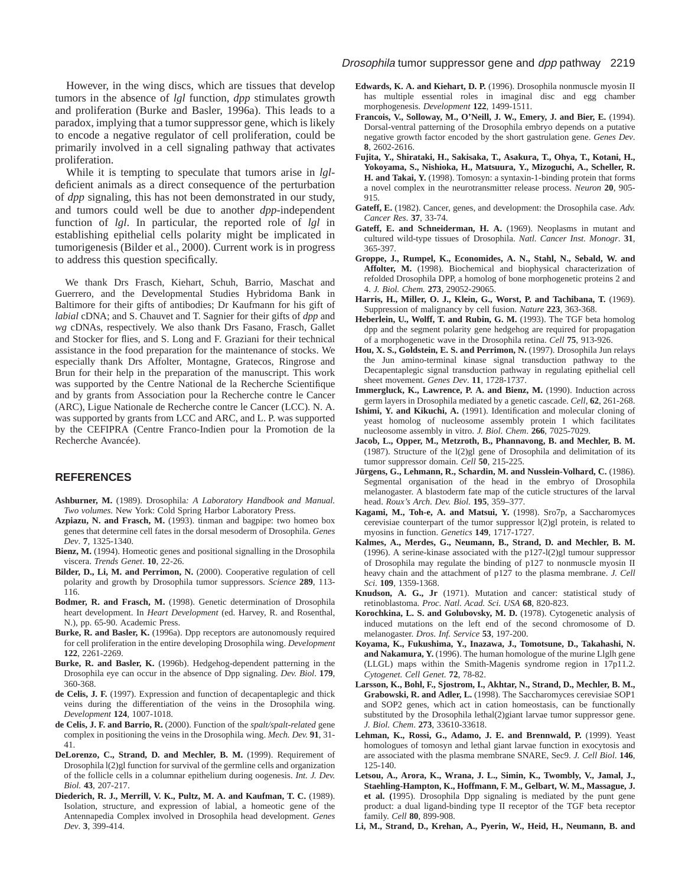However, in the wing discs, which are tissues that develop tumors in the absence of *lgl* function, *dpp* stimulates growth and proliferation (Burke and Basler, 1996a). This leads to a paradox, implying that a tumor suppressor gene, which is likely to encode a negative regulator of cell proliferation, could be primarily involved in a cell signaling pathway that activates proliferation.

While it is tempting to speculate that tumors arise in *lgl*deficient animals as a direct consequence of the perturbation of *dpp* signaling, this has not been demonstrated in our study, and tumors could well be due to another *dpp*-independent function of *lgl*. In particular, the reported role of *lgl* in establishing epithelial cells polarity might be implicated in tumorigenesis (Bilder et al., 2000). Current work is in progress to address this question specifically.

We thank Drs Frasch, Kiehart, Schuh, Barrio, Maschat and Guerrero, and the Developmental Studies Hybridoma Bank in Baltimore for their gifts of antibodies; Dr Kaufmann for his gift of *labial* cDNA; and S. Chauvet and T. Sagnier for their gifts of *dpp* and *wg* cDNAs, respectively. We also thank Drs Fasano, Frasch, Gallet and Stocker for flies, and S. Long and F. Graziani for their technical assistance in the food preparation for the maintenance of stocks. We especially thank Drs Affolter, Montagne, Gratecos, Ringrose and Brun for their help in the preparation of the manuscript. This work was supported by the Centre National de la Recherche Scientifique and by grants from Association pour la Recherche contre le Cancer (ARC), Ligue Nationale de Recherche contre le Cancer (LCC). N. A. was supported by grants from LCC and ARC, and L. P. was supported by the CEFIPRA (Centre Franco-Indien pour la Promotion de la Recherche Avancée).

#### **REFERENCES**

- **Ashburner, M.** (1989). Drosophila*: A Laboratory Handbook and Manual. Two volumes.* New York: Cold Spring Harbor Laboratory Press.
- **Azpiazu, N. and Frasch, M.** (1993). tinman and bagpipe: two homeo box genes that determine cell fates in the dorsal mesoderm of Drosophila. *Genes Dev*. **7**, 1325-1340.
- **Bienz, M.** (1994). Homeotic genes and positional signalling in the Drosophila viscera. *Trends Genet*. **10**, 22-26.
- Bilder, D., Li, M. and Perrimon, N. (2000). Cooperative regulation of cell polarity and growth by Drosophila tumor suppressors. *Science* **289**, 113- 116.
- **Bodmer, R. and Frasch, M.** (1998). Genetic determination of Drosophila heart development. In *Heart Development* (ed. Harvey, R. and Rosenthal, N.), pp. 65-90. Academic Press.
- Burke, R. and Basler, K. (1996a). Dpp receptors are autonomously required for cell proliferation in the entire developing Drosophila wing. *Development* **122**, 2261-2269.
- **Burke, R. and Basler, K.** (1996b). Hedgehog-dependent patterning in the Drosophila eye can occur in the absence of Dpp signaling. *Dev. Biol*. **179**, 360-368.
- **de Celis, J. F.** (1997). Expression and function of decapentaplegic and thick veins during the differentiation of the veins in the Drosophila wing. *Development* **124**, 1007-1018.
- **de Celis, J. F. and Barrio, R.** (2000). Function of the *spalt/spalt-related* gene complex in positioning the veins in the Drosophila wing. *Mech. Dev.* **91**, 31- 41.
- **DeLorenzo, C., Strand, D. and Mechler, B. M.** (1999). Requirement of Drosophila l(2)gl function for survival of the germline cells and organization of the follicle cells in a columnar epithelium during oogenesis. *Int. J. Dev. Biol.* **43**, 207-217.
- **Diederich, R. J., Merrill, V. K., Pultz, M. A. and Kaufman, T. C.** (1989). Isolation, structure, and expression of labial, a homeotic gene of the Antennapedia Complex involved in Drosophila head development. *Genes Dev*. **3**, 399-414.
- **Edwards, K. A. and Kiehart, D. P.** (1996). Drosophila nonmuscle myosin II has multiple essential roles in imaginal disc and egg chamber morphogenesis. *Development* **122**, 1499-1511.
- **Francois, V., Solloway, M., O'Neill, J. W., Emery, J. and Bier, E.** (1994). Dorsal-ventral patterning of the Drosophila embryo depends on a putative negative growth factor encoded by the short gastrulation gene. *Genes Dev*. **8**, 2602-2616.
- **Fujita, Y., Shirataki, H., Sakisaka, T., Asakura, T., Ohya, T., Kotani, H., Yokoyama, S., Nishioka, H., Matsuura, Y., Mizoguchi, A., Scheller, R. H. and Takai, Y.** (1998). Tomosyn: a syntaxin-1-binding protein that forms a novel complex in the neurotransmitter release process. *Neuron* **20**, 905- 915.
- **Gateff, E.** (1982). Cancer, genes, and development: the Drosophila case. *Adv. Cancer Res*. **37**, 33-74.
- Gateff, E. and Schneiderman, H. A. (1969). Neoplasms in mutant and cultured wild-type tissues of Drosophila. *Natl. Cancer Inst. Monogr*. **31**, 365-397.
- **Groppe, J., Rumpel, K., Economides, A. N., Stahl, N., Sebald, W. and Affolter, M.** (1998). Biochemical and biophysical characterization of refolded Drosophila DPP, a homolog of bone morphogenetic proteins 2 and 4. *J. Biol. Chem.* **273**, 29052-29065.
- **Harris, H., Miller, O. J., Klein, G., Worst, P. and Tachibana, T.** (1969). Suppression of malignancy by cell fusion. *Nature* **223**, 363-368.
- **Heberlein, U., Wolff, T. and Rubin, G. M.** (1993). The TGF beta homolog dpp and the segment polarity gene hedgehog are required for propagation of a morphogenetic wave in the Drosophila retina. *Cell* **75**, 913-926.
- Hou, X. S., Goldstein, E. S. and Perrimon, N. (1997). Drosophila Jun relays the Jun amino-terminal kinase signal transduction pathway to the Decapentaplegic signal transduction pathway in regulating epithelial cell sheet movement. *Genes Dev*. **11**, 1728-1737.
- Immergluck, K., Lawrence, P. A. and Bienz, M. (1990). Induction across germ layers in Drosophila mediated by a genetic cascade. *Cell*, **62**, 261-268.
- Ishimi, Y. and Kikuchi, A. (1991). Identification and molecular cloning of yeast homolog of nucleosome assembly protein I which facilitates nucleosome assembly in vitro. *J. Biol. Chem*. **266**, 7025-7029.
- **Jacob, L., Opper, M., Metzroth, B., Phannavong, B. and Mechler, B. M.** (1987). Structure of the l(2)gl gene of Drosophila and delimitation of its tumor suppressor domain. *Cell* **50**, 215-225.
- **Jürgens, G., Lehmann, R., Schardin, M. and Nusslein-Volhard, C.** (1986). Segmental organisation of the head in the embryo of Drosophila melanogaster. A blastoderm fate map of the cuticle structures of the larval head. *Roux's Arch. Dev. Biol.* **195**, 359–377.
- **Kagami, M., Toh-e, A. and Matsui, Y.** (1998). Sro7p, a Saccharomyces cerevisiae counterpart of the tumor suppressor l(2)gl protein, is related to myosins in function. *Genetics* **149**, 1717-1727.
- **Kalmes, A., Merdes, G., Neumann, B., Strand, D. and Mechler, B. M.** (1996). A serine-kinase associated with the p127-l(2)gl tumour suppressor of Drosophila may regulate the binding of p127 to nonmuscle myosin II heavy chain and the attachment of p127 to the plasma membrane. *J. Cell Sci*. **109**, 1359-1368.
- **Knudson, A. G., Jr** (1971). Mutation and cancer: statistical study of retinoblastoma. *Proc. Natl. Acad. Sci. USA* **68**, 820-823.
- **Korochkina, L. S. and Golubovsky, M. D.** (1978). Cytogenetic analysis of induced mutations on the left end of the second chromosome of D. melanogaster. *Dros. Inf. Service* **53**, 197-200.
- **Koyama, K., Fukushima, Y., Inazawa, J., Tomotsune, D., Takahashi, N. and Nakamura, Y.** (1996). The human homologue of the murine Llglh gene (LLGL) maps within the Smith-Magenis syndrome region in 17p11.2. *Cytogenet. Cell Genet.* **72**, 78-82.
- **Larsson, K., Bohl, F., Sjostrom, I., Akhtar, N., Strand, D., Mechler, B. M., Grabowski, R. and Adler, L.** (1998). The Saccharomyces cerevisiae SOP1 and SOP2 genes, which act in cation homeostasis, can be functionally substituted by the Drosophila lethal(2)giant larvae tumor suppressor gene. *J. Biol. Chem*. **273**, 33610-33618.
- **Lehman, K., Rossi, G., Adamo, J. E. and Brennwald, P.** (1999). Yeast homologues of tomosyn and lethal giant larvae function in exocytosis and are associated with the plasma membrane SNARE, Sec9. *J. Cell Biol*. **146**, 125-140.
- **Letsou, A., Arora, K., Wrana, J. L., Simin, K., Twombly, V., Jamal, J., Staehling-Hampton, K., Hoffmann, F. M., Gelbart, W. M., Massague, J. et al. (**1995). Drosophila Dpp signaling is mediated by the punt gene product: a dual ligand-binding type II receptor of the TGF beta receptor family. *Cell* **80**, 899-908.
- **Li, M., Strand, D., Krehan, A., Pyerin, W., Heid, H., Neumann, B. and**